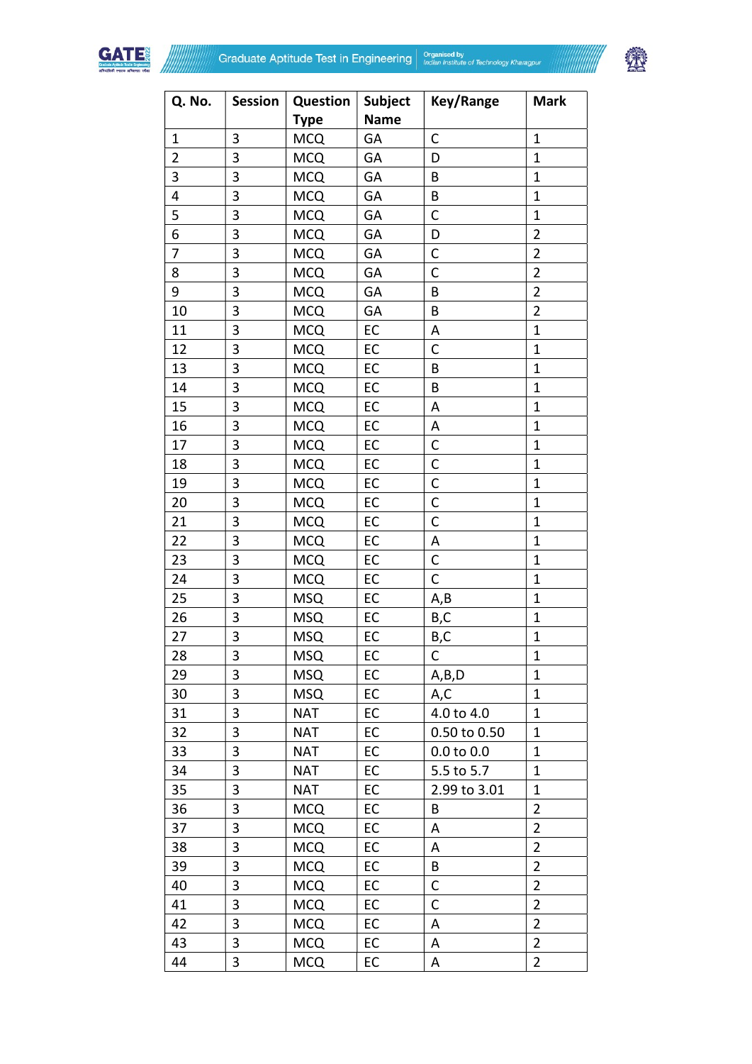



| Q. No.                   | Session | Question    | <b>Subject</b> | Key/Range      | <b>Mark</b>    |
|--------------------------|---------|-------------|----------------|----------------|----------------|
|                          |         | <b>Type</b> | <b>Name</b>    |                |                |
| $\mathbf{1}$             | 3       | <b>MCQ</b>  | GA             | $\mathsf C$    | $\mathbf{1}$   |
| $\overline{2}$           | 3       | <b>MCQ</b>  | GA             | D              | $\mathbf{1}$   |
| 3                        | 3       | <b>MCQ</b>  | GA             | B              | $\mathbf{1}$   |
| $\overline{\mathbf{4}}$  | 3       | <b>MCQ</b>  | GA             | B              | $\mathbf{1}$   |
| 5                        | 3       | <b>MCQ</b>  | GA             | C              | $\mathbf{1}$   |
| 6                        | 3       | <b>MCQ</b>  | GA             | D              | $\overline{2}$ |
| $\overline{\mathcal{I}}$ | 3       | <b>MCQ</b>  | GA             | $\mathsf C$    | $\overline{2}$ |
| 8                        | 3       | <b>MCQ</b>  | GA             | $\mathsf{C}$   | $\overline{2}$ |
| 9                        | 3       | <b>MCQ</b>  | GA             | B              | $\overline{2}$ |
| 10                       | 3       | <b>MCQ</b>  | GA             | B              | $\overline{2}$ |
| 11                       | 3       | <b>MCQ</b>  | EC             | Α              | $\mathbf{1}$   |
| 12                       | 3       | <b>MCQ</b>  | EC             | C              | $\mathbf{1}$   |
| 13                       | 3       | <b>MCQ</b>  | EC             | B              | $\mathbf{1}$   |
| 14                       | 3       | <b>MCQ</b>  | EC             | B              | $\mathbf{1}$   |
| 15                       | 3       | <b>MCQ</b>  | EC             | A              | $\mathbf{1}$   |
| 16                       | 3       | <b>MCQ</b>  | EC             | A              | $\mathbf{1}$   |
| 17                       | 3       | <b>MCQ</b>  | EC             | С              | $\mathbf{1}$   |
| 18                       | 3       | <b>MCQ</b>  | EC             | $\mathsf C$    | $\mathbf{1}$   |
| 19                       | 3       | <b>MCQ</b>  | EC             | $\mathsf C$    | $\mathbf{1}$   |
| 20                       | 3       | <b>MCQ</b>  | EC             | $\mathsf C$    | $\mathbf{1}$   |
| 21                       | 3       | <b>MCQ</b>  | EC             | C              | $\mathbf{1}$   |
| 22                       | 3       | <b>MCQ</b>  | EC             | A              | $\mathbf{1}$   |
| 23                       | 3       | <b>MCQ</b>  | EC             | $\mathsf C$    | $\mathbf{1}$   |
| 24                       | 3       | <b>MCQ</b>  | EC             | C              | $\mathbf{1}$   |
| 25                       | 3       | <b>MSQ</b>  | EC             | A,B            | $\mathbf{1}$   |
| 26                       | 3       | <b>MSQ</b>  | EC             | B,C            | $\mathbf{1}$   |
| 27                       | 3       | <b>MSQ</b>  | EC             | B,C            | $\mathbf{1}$   |
| 28                       | 3       | <b>MSQ</b>  | EC             | $\mathsf{C}$   | $\mathbf 1$    |
| 29                       | 3       | <b>MSQ</b>  | EC             | A,B,D          | $\mathbf{1}$   |
| 30                       | 3       | <b>MSQ</b>  | EC             | A,C            | $\mathbf 1$    |
| 31                       | 3       | <b>NAT</b>  | EC             | 4.0 to 4.0     | $\mathbf{1}$   |
| 32                       | 3       | <b>NAT</b>  | EC             | 0.50 to 0.50   | 1              |
| 33                       | 3       | <b>NAT</b>  | EC             | $0.0$ to $0.0$ | 1              |
| 34                       | 3       | <b>NAT</b>  | EC             | 5.5 to 5.7     | 1              |
| 35                       | 3       | <b>NAT</b>  | EC             | 2.99 to 3.01   | 1              |
|                          |         |             |                |                |                |
| 36                       | 3       | <b>MCQ</b>  | EC             | B              | $\overline{2}$ |
| 37                       | 3       | <b>MCQ</b>  | EC             | Α              | $\overline{2}$ |
| 38                       | 3       | <b>MCQ</b>  | EC             | A              | $\overline{2}$ |
| 39                       | 3       | <b>MCQ</b>  | EC             | B              | $\overline{2}$ |
| 40                       | 3       | <b>MCQ</b>  | EC             | С              | $\overline{2}$ |
| 41                       | 3       | <b>MCQ</b>  | EC             | C              | $\overline{2}$ |
| 42                       | 3       | <b>MCQ</b>  | EC             | Α              | $\overline{2}$ |
| 43                       | 3       | <b>MCQ</b>  | EC             | Α              | $\overline{2}$ |
| 44                       | 3       | <b>MCQ</b>  | EC             | Α              | $\overline{2}$ |